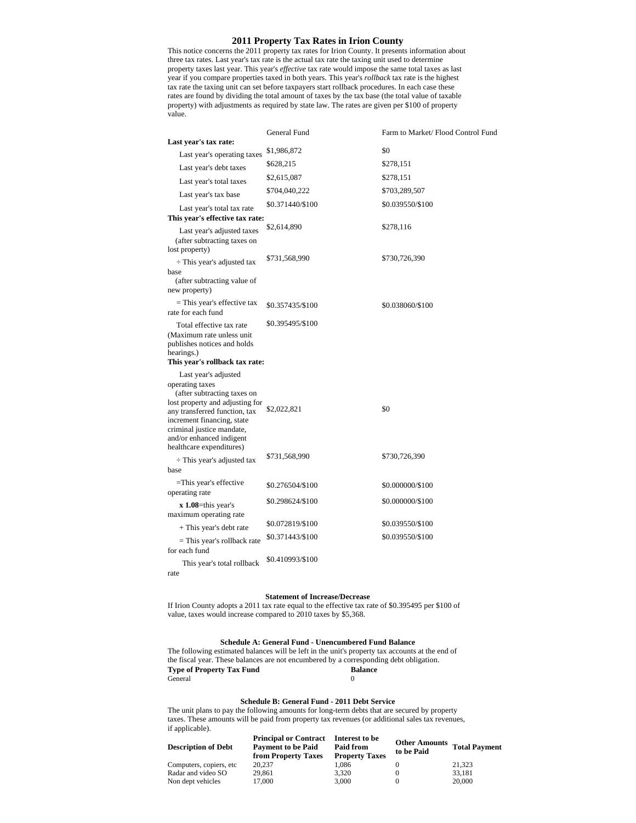# **2011 Property Tax Rates in Irion County**

This notice concerns the 2011 property tax rates for Irion County. It presents information about three tax rates. Last year's tax rate is the actual tax rate the taxing unit used to determine property taxes last year. This year's *effective* tax rate would impose the same total taxes as last year if you compare properties taxed in both years. This year's *rollback* tax rate is the highest tax rate the taxing unit can set before taxpayers start rollback procedures. In each case these rates are found by dividing the total amount of taxes by the tax base (the total value of taxable property) with adjustments as required by state law. The rates are given per \$100 of property value.

|                                                                                                                                                                                                                                       | General Fund     | Farm to Market/ Flood Control Fund |
|---------------------------------------------------------------------------------------------------------------------------------------------------------------------------------------------------------------------------------------|------------------|------------------------------------|
| Last year's tax rate:                                                                                                                                                                                                                 |                  |                                    |
| Last year's operating taxes                                                                                                                                                                                                           | \$1,986,872      | \$0                                |
| Last year's debt taxes                                                                                                                                                                                                                | \$628,215        | \$278,151                          |
| Last year's total taxes                                                                                                                                                                                                               | \$2,615,087      | \$278,151                          |
| Last year's tax base                                                                                                                                                                                                                  | \$704,040,222    | \$703,289,507                      |
| Last year's total tax rate                                                                                                                                                                                                            | \$0.371440/\$100 | \$0.039550/\$100                   |
| This year's effective tax rate:                                                                                                                                                                                                       | \$2,614,890      |                                    |
| Last year's adjusted taxes<br>(after subtracting taxes on<br>lost property)                                                                                                                                                           |                  | \$278,116                          |
| $\div$ This year's adjusted tax                                                                                                                                                                                                       | \$731,568,990    | \$730,726,390                      |
| hase<br>(after subtracting value of<br>new property)                                                                                                                                                                                  |                  |                                    |
| $=$ This year's effective tax<br>rate for each fund                                                                                                                                                                                   | \$0.357435/\$100 | \$0.038060/\$100                   |
| Total effective tax rate<br>(Maximum rate unless unit<br>publishes notices and holds<br>hearings.)<br>This year's rollback tax rate:                                                                                                  | \$0.395495/\$100 |                                    |
| Last year's adjusted                                                                                                                                                                                                                  |                  |                                    |
| operating taxes<br>(after subtracting taxes on<br>lost property and adjusting for<br>any transferred function, tax<br>increment financing, state<br>criminal justice mandate,<br>and/or enhanced indigent<br>healthcare expenditures) | \$2,022,821      | \$0                                |
| $\div$ This year's adjusted tax<br>base                                                                                                                                                                                               | \$731,568,990    | \$730,726,390                      |
| =This year's effective<br>operating rate                                                                                                                                                                                              | \$0.276504/\$100 | \$0.000000/\$100                   |
| $x$ 1.08=this year's<br>maximum operating rate                                                                                                                                                                                        | \$0.298624/\$100 | \$0.000000/\$100                   |
| + This year's debt rate                                                                                                                                                                                                               | \$0.072819/\$100 | \$0.039550/\$100                   |
| $=$ This year's rollback rate<br>for each fund                                                                                                                                                                                        | \$0.371443/\$100 | \$0.039550/\$100                   |
| This year's total rollback<br>rate                                                                                                                                                                                                    | \$0.410993/\$100 |                                    |

## **Statement of Increase/Decrease**

If Irion County adopts a 2011 tax rate equal to the effective tax rate of \$0.395495 per \$100 of value, taxes would increase compared to 2010 taxes by \$5,368.

## **Schedule A: General Fund - Unencumbered Fund Balance**

The following estimated balances will be left in the unit's property tax accounts at the end of the fiscal year. These balances are not encumbered by a corresponding debt obligation. **Type of Property Tax Fund Balance Balance** General 0

## **Schedule B: General Fund - 2011 Debt Service**

The unit plans to pay the following amounts for long-term debts that are secured by property taxes. These amounts will be paid from property tax revenues (or additional sales tax revenues, if applicable).

| <b>Description of Debt</b> | <b>Principal or Contract</b><br><b>Payment to be Paid</b><br>from Property Taxes | Interest to be<br>Paid from<br><b>Property Taxes</b> | Other Amounts Total Payment<br>to be Paid |        |
|----------------------------|----------------------------------------------------------------------------------|------------------------------------------------------|-------------------------------------------|--------|
| Computers, copiers, etc.   | 20,237                                                                           | 1.086                                                |                                           | 21.323 |
| Radar and video SO         | 29.861                                                                           | 3.320                                                |                                           | 33.181 |
| Non dept vehicles          | 17,000                                                                           | 3.000                                                |                                           | 20,000 |